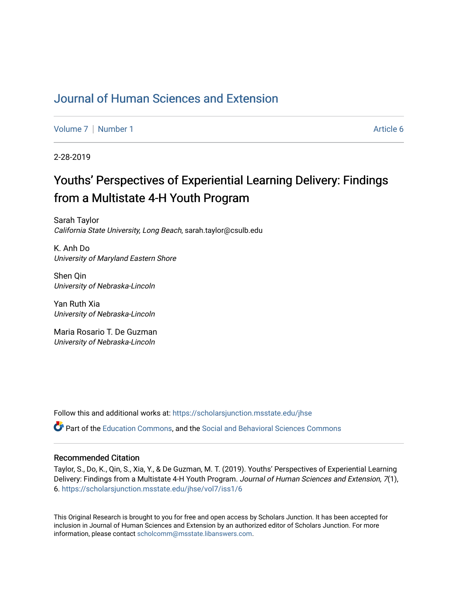## [Journal of Human Sciences and Extension](https://scholarsjunction.msstate.edu/jhse)

[Volume 7](https://scholarsjunction.msstate.edu/jhse/vol7) | [Number 1](https://scholarsjunction.msstate.edu/jhse/vol7/iss1) Article 6

2-28-2019

# Youths' Perspectives of Experiential Learning Delivery: Findings from a Multistate 4-H Youth Program

Sarah Taylor California State University, Long Beach, sarah.taylor@csulb.edu

K. Anh Do University of Maryland Eastern Shore

Shen Qin University of Nebraska-Lincoln

Yan Ruth Xia University of Nebraska-Lincoln

Maria Rosario T. De Guzman University of Nebraska-Lincoln

Follow this and additional works at: [https://scholarsjunction.msstate.edu/jhse](https://scholarsjunction.msstate.edu/jhse?utm_source=scholarsjunction.msstate.edu%2Fjhse%2Fvol7%2Fiss1%2F6&utm_medium=PDF&utm_campaign=PDFCoverPages)

Part of the [Education Commons](http://network.bepress.com/hgg/discipline/784?utm_source=scholarsjunction.msstate.edu%2Fjhse%2Fvol7%2Fiss1%2F6&utm_medium=PDF&utm_campaign=PDFCoverPages), and the [Social and Behavioral Sciences Commons](http://network.bepress.com/hgg/discipline/316?utm_source=scholarsjunction.msstate.edu%2Fjhse%2Fvol7%2Fiss1%2F6&utm_medium=PDF&utm_campaign=PDFCoverPages) 

#### Recommended Citation

Taylor, S., Do, K., Qin, S., Xia, Y., & De Guzman, M. T. (2019). Youths' Perspectives of Experiential Learning Delivery: Findings from a Multistate 4-H Youth Program. Journal of Human Sciences and Extension, 7(1), 6. [https://scholarsjunction.msstate.edu/jhse/vol7/iss1/6](https://scholarsjunction.msstate.edu/jhse/vol7/iss1/6?utm_source=scholarsjunction.msstate.edu%2Fjhse%2Fvol7%2Fiss1%2F6&utm_medium=PDF&utm_campaign=PDFCoverPages)

This Original Research is brought to you for free and open access by Scholars Junction. It has been accepted for inclusion in Journal of Human Sciences and Extension by an authorized editor of Scholars Junction. For more information, please contact [scholcomm@msstate.libanswers.com](mailto:scholcomm@msstate.libanswers.com).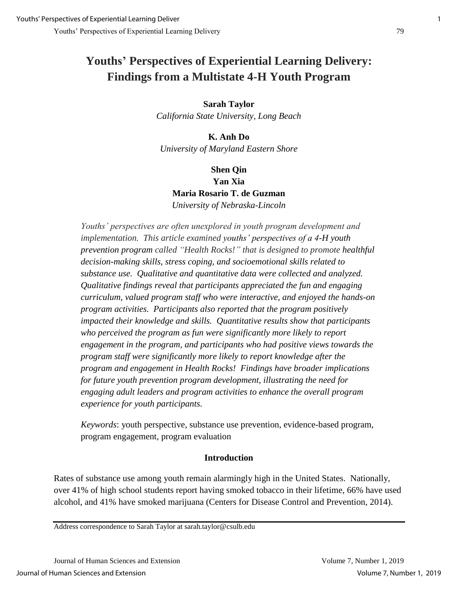# **Youths' Perspectives of Experiential Learning Delivery: Findings from a Multistate 4-H Youth Program**

## **Sarah Taylor**  *California State University, Long Beach*

**K. Anh Do** *University of Maryland Eastern Shore*

## **Shen Qin Yan Xia Maria Rosario T. de Guzman** *University of Nebraska-Lincoln*

*Youths' perspectives are often unexplored in youth program development and implementation. This article examined youths' perspectives of a 4-H youth prevention program called "Health Rocks!" that is designed to promote healthful decision-making skills, stress coping, and socioemotional skills related to substance use. Qualitative and quantitative data were collected and analyzed. Qualitative findings reveal that participants appreciated the fun and engaging curriculum, valued program staff who were interactive, and enjoyed the hands-on program activities. Participants also reported that the program positively impacted their knowledge and skills. Quantitative results show that participants who perceived the program as fun were significantly more likely to report engagement in the program, and participants who had positive views towards the program staff were significantly more likely to report knowledge after the program and engagement in Health Rocks! Findings have broader implications for future youth prevention program development, illustrating the need for engaging adult leaders and program activities to enhance the overall program experience for youth participants.*

*Keywords*: youth perspective, substance use prevention, evidence-based program, program engagement, program evaluation

## **Introduction**

Rates of substance use among youth remain alarmingly high in the United States. Nationally, over 41% of high school students report having smoked tobacco in their lifetime, 66% have used alcohol, and 41% have smoked marijuana (Centers for Disease Control and Prevention, 2014).

Address correspondence to Sarah Taylor at sarah.taylor@csulb.edu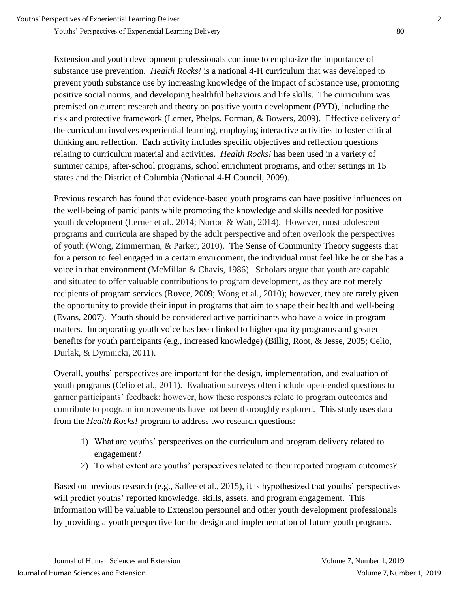Extension and youth development professionals continue to emphasize the importance of substance use prevention. *Health Rocks!* is a national 4-H curriculum that was developed to prevent youth substance use by increasing knowledge of the impact of substance use, promoting positive social norms, and developing healthful behaviors and life skills. The curriculum was premised on current research and theory on positive youth development (PYD), including the risk and protective framework (Lerner, Phelps, Forman, & Bowers, 2009). Effective delivery of the curriculum involves experiential learning, employing interactive activities to foster critical thinking and reflection. Each activity includes specific objectives and reflection questions relating to curriculum material and activities. *Health Rocks!* has been used in a variety of summer camps, after-school programs, school enrichment programs, and other settings in 15 states and the District of Columbia (National 4-H Council, 2009).

Previous research has found that evidence-based youth programs can have positive influences on the well-being of participants while promoting the knowledge and skills needed for positive youth development (Lerner et al., 2014; Norton & Watt, 2014). However, most adolescent programs and curricula are shaped by the adult perspective and often overlook the perspectives of youth (Wong, Zimmerman, & Parker, 2010). The Sense of Community Theory suggests that for a person to feel engaged in a certain environment, the individual must feel like he or she has a voice in that environment (McMillan & Chavis, 1986). Scholars argue that youth are capable and situated to offer valuable contributions to program development, as they are not merely recipients of program services (Royce, 2009; Wong et al., 2010); however, they are rarely given the opportunity to provide their input in programs that aim to shape their health and well-being (Evans, 2007). Youth should be considered active participants who have a voice in program matters. Incorporating youth voice has been linked to higher quality programs and greater benefits for youth participants (e.g., increased knowledge) (Billig, Root, & Jesse, 2005; Celio, Durlak, & Dymnicki, 2011).

Overall, youths' perspectives are important for the design, implementation, and evaluation of youth programs (Celio et al., 2011). Evaluation surveys often include open-ended questions to garner participants' feedback; however, how these responses relate to program outcomes and contribute to program improvements have not been thoroughly explored. This study uses data from the *Health Rocks!* program to address two research questions:

- 1) What are youths' perspectives on the curriculum and program delivery related to engagement?
- 2) To what extent are youths' perspectives related to their reported program outcomes?

Based on previous research (e.g., Sallee et al., 2015), it is hypothesized that youths' perspectives will predict youths' reported knowledge, skills, assets, and program engagement. This information will be valuable to Extension personnel and other youth development professionals by providing a youth perspective for the design and implementation of future youth programs.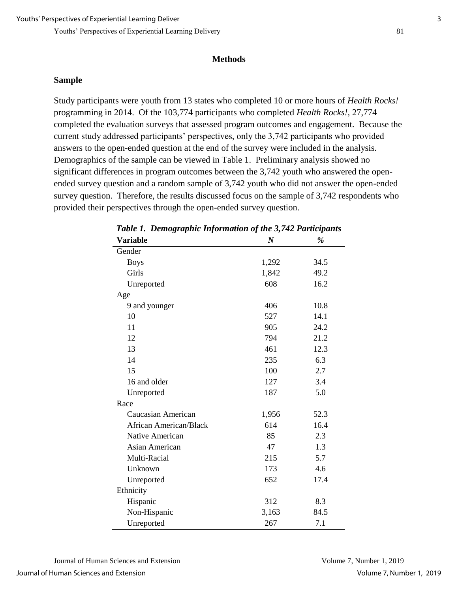#### **Methods**

#### **Sample**

Study participants were youth from 13 states who completed 10 or more hours of *Health Rocks!* programming in 2014. Of the 103,774 participants who completed *Health Rocks!*, 27,774 completed the evaluation surveys that assessed program outcomes and engagement. Because the current study addressed participants' perspectives, only the 3,742 participants who provided answers to the open-ended question at the end of the survey were included in the analysis. Demographics of the sample can be viewed in Table 1. Preliminary analysis showed no significant differences in program outcomes between the 3,742 youth who answered the openended survey question and a random sample of 3,742 youth who did not answer the open-ended survey question. Therefore, the results discussed focus on the sample of 3,742 respondents who provided their perspectives through the open-ended survey question.

| $\sim$ , $\sim$ , ,           | .                | •г   |
|-------------------------------|------------------|------|
| <b>Variable</b>               | $\boldsymbol{N}$ | %    |
| Gender                        |                  |      |
| <b>Boys</b>                   | 1,292            | 34.5 |
| Girls                         | 1,842            | 49.2 |
| Unreported                    | 608              | 16.2 |
| Age                           |                  |      |
| 9 and younger                 | 406              | 10.8 |
| 10                            | 527              | 14.1 |
| 11                            | 905              | 24.2 |
| 12                            | 794              | 21.2 |
| 13                            | 461              | 12.3 |
| 14                            | 235              | 6.3  |
| 15                            | 100              | 2.7  |
| 16 and older                  | 127              | 3.4  |
| Unreported                    | 187              | 5.0  |
| Race                          |                  |      |
| Caucasian American            | 1,956            | 52.3 |
| <b>African American/Black</b> | 614              | 16.4 |
| Native American               | 85               | 2.3  |
| <b>Asian American</b>         | 47               | 1.3  |
| Multi-Racial                  | 215              | 5.7  |
| Unknown                       | 173              | 4.6  |
| Unreported                    | 652              | 17.4 |
| Ethnicity                     |                  |      |
| Hispanic                      | 312              | 8.3  |
| Non-Hispanic                  | 3,163            | 84.5 |
| Unreported                    | 267              | 7.1  |

*Table 1. Demographic Information of the 3,742 Participants*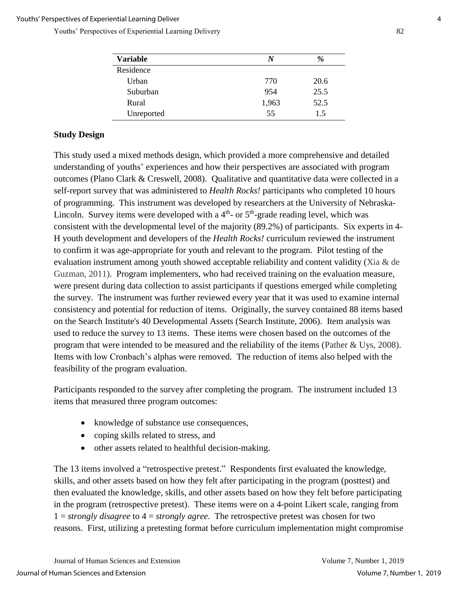| <b>Variable</b> | N     | %    |  |
|-----------------|-------|------|--|
| Residence       |       |      |  |
| Urban           | 770   | 20.6 |  |
| Suburban        | 954   | 25.5 |  |
| Rural           | 1,963 | 52.5 |  |
| Unreported      | 55    | 15   |  |

## **Study Design**

This study used a mixed methods design, which provided a more comprehensive and detailed understanding of youths' experiences and how their perspectives are associated with program outcomes (Plano Clark & Creswell, 2008). Qualitative and quantitative data were collected in a self-report survey that was administered to *Health Rocks!* participants who completed 10 hours of programming. This instrument was developed by researchers at the University of Nebraska-Lincoln. Survey items were developed with a  $4<sup>th</sup>$ - or  $5<sup>th</sup>$ -grade reading level, which was consistent with the developmental level of the majority (89.2%) of participants. Six experts in 4- H youth development and developers of the *Health Rocks!* curriculum reviewed the instrument to confirm it was age-appropriate for youth and relevant to the program. Pilot testing of the evaluation instrument among youth showed acceptable reliability and content validity (Xia & de Guzman, 2011). Program implementers, who had received training on the evaluation measure, were present during data collection to assist participants if questions emerged while completing the survey. The instrument was further reviewed every year that it was used to examine internal consistency and potential for reduction of items. Originally, the survey contained 88 items based on the Search Institute's 40 Developmental Assets (Search Institute, 2006). Item analysis was used to reduce the survey to 13 items. These items were chosen based on the outcomes of the program that were intended to be measured and the reliability of the items (Pather & Uys, 2008). Items with low Cronbach's alphas were removed. The reduction of items also helped with the feasibility of the program evaluation.

Participants responded to the survey after completing the program. The instrument included 13 items that measured three program outcomes:

- knowledge of substance use consequences,
- coping skills related to stress, and
- other assets related to healthful decision-making.

The 13 items involved a "retrospective pretest." Respondents first evaluated the knowledge, skills, and other assets based on how they felt after participating in the program (posttest) and then evaluated the knowledge, skills, and other assets based on how they felt before participating in the program (retrospective pretest). These items were on a 4-point Likert scale, ranging from 1 = *strongly disagree* to 4 = *strongly agree*. The retrospective pretest was chosen for two reasons. First, utilizing a pretesting format before curriculum implementation might compromise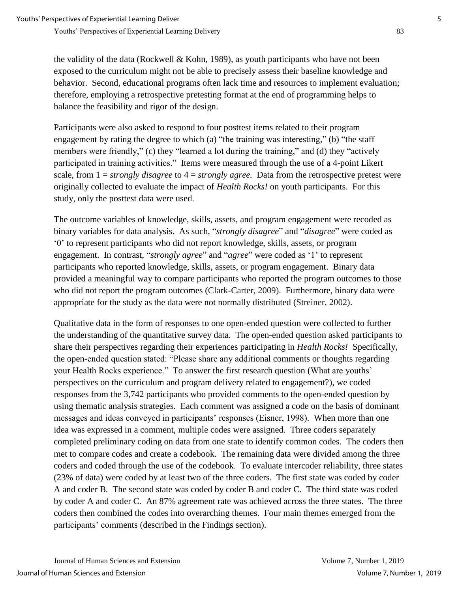the validity of the data (Rockwell & Kohn, 1989), as youth participants who have not been exposed to the curriculum might not be able to precisely assess their baseline knowledge and behavior. Second, educational programs often lack time and resources to implement evaluation; therefore, employing a retrospective pretesting format at the end of programming helps to balance the feasibility and rigor of the design.

Participants were also asked to respond to four posttest items related to their program engagement by rating the degree to which (a) "the training was interesting," (b) "the staff members were friendly," (c) they "learned a lot during the training," and (d) they "actively participated in training activities." Items were measured through the use of a 4-point Likert scale, from 1 = *strongly disagree* to 4 = *strongly agree.* Data from the retrospective pretest were originally collected to evaluate the impact of *Health Rocks!* on youth participants. For this study, only the posttest data were used.

The outcome variables of knowledge, skills, assets, and program engagement were recoded as binary variables for data analysis. As such, "*strongly disagree*" and "*disagree*" were coded as '0' to represent participants who did not report knowledge, skills, assets, or program engagement. In contrast, "*strongly agree*" and "*agree*" were coded as '1' to represent participants who reported knowledge, skills, assets, or program engagement. Binary data provided a meaningful way to compare participants who reported the program outcomes to those who did not report the program outcomes (Clark-Carter, 2009). Furthermore, binary data were appropriate for the study as the data were not normally distributed (Streiner, 2002).

Qualitative data in the form of responses to one open-ended question were collected to further the understanding of the quantitative survey data. The open-ended question asked participants to share their perspectives regarding their experiences participating in *Health Rocks!* Specifically, the open-ended question stated: "Please share any additional comments or thoughts regarding your Health Rocks experience." To answer the first research question (What are youths' perspectives on the curriculum and program delivery related to engagement?), we coded responses from the 3,742 participants who provided comments to the open-ended question by using thematic analysis strategies. Each comment was assigned a code on the basis of dominant messages and ideas conveyed in participants' responses (Eisner, 1998). When more than one idea was expressed in a comment, multiple codes were assigned. Three coders separately completed preliminary coding on data from one state to identify common codes. The coders then met to compare codes and create a codebook. The remaining data were divided among the three coders and coded through the use of the codebook. To evaluate intercoder reliability, three states (23% of data) were coded by at least two of the three coders. The first state was coded by coder A and coder B. The second state was coded by coder B and coder C. The third state was coded by coder A and coder C. An 87% agreement rate was achieved across the three states. The three coders then combined the codes into overarching themes. Four main themes emerged from the participants' comments (described in the Findings section).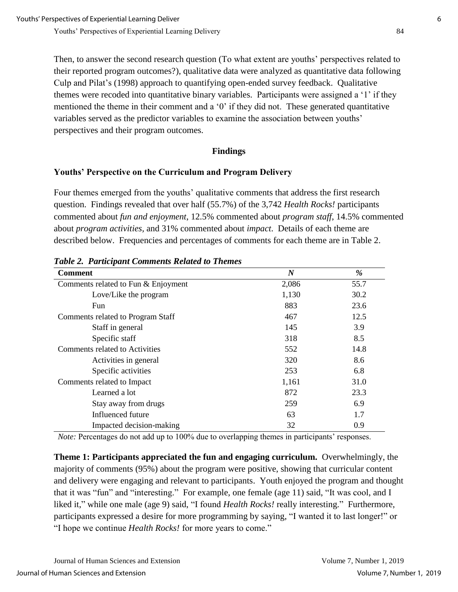Then, to answer the second research question (To what extent are youths' perspectives related to their reported program outcomes?), qualitative data were analyzed as quantitative data following Culp and Pilat's (1998) approach to quantifying open-ended survey feedback. Qualitative themes were recoded into quantitative binary variables. Participants were assigned a '1' if they mentioned the theme in their comment and a '0' if they did not. These generated quantitative variables served as the predictor variables to examine the association between youths' perspectives and their program outcomes.

#### **Findings**

## **Youths' Perspective on the Curriculum and Program Delivery**

Four themes emerged from the youths' qualitative comments that address the first research question. Findings revealed that over half (55.7%) of the 3,742 *Health Rocks!* participants commented about *fun and enjoyment*, 12.5% commented about *program staff*, 14.5% commented about *program activities,* and 31% commented about *impact*. Details of each theme are described below. Frequencies and percentages of comments for each theme are in Table 2.

| <b>Comment</b>                      | $\boldsymbol{N}$ | %    |
|-------------------------------------|------------------|------|
| Comments related to Fun & Enjoyment | 2,086            | 55.7 |
| Love/Like the program               | 1,130            | 30.2 |
| <b>Fun</b>                          | 883              | 23.6 |
| Comments related to Program Staff   | 467              | 12.5 |
| Staff in general                    | 145              | 3.9  |
| Specific staff                      | 318              | 8.5  |
| Comments related to Activities      | 552              | 14.8 |
| Activities in general               | 320              | 8.6  |
| Specific activities                 | 253              | 6.8  |
| Comments related to Impact          | 1,161            | 31.0 |
| Learned a lot                       | 872              | 23.3 |
| Stay away from drugs                | 259              | 6.9  |
| Influenced future                   | 63               | 1.7  |
| Impacted decision-making            | 32               | 0.9  |

*Table 2. Participant Comments Related to Themes*

*Note:* Percentages do not add up to 100% due to overlapping themes in participants' responses.

**Theme 1: Participants appreciated the fun and engaging curriculum.** Overwhelmingly, the majority of comments (95%) about the program were positive, showing that curricular content and delivery were engaging and relevant to participants. Youth enjoyed the program and thought that it was "fun" and "interesting." For example, one female (age 11) said, "It was cool, and I liked it," while one male (age 9) said, "I found *Health Rocks!* really interesting." Furthermore, participants expressed a desire for more programming by saying, "I wanted it to last longer!" or "I hope we continue *Health Rocks!* for more years to come."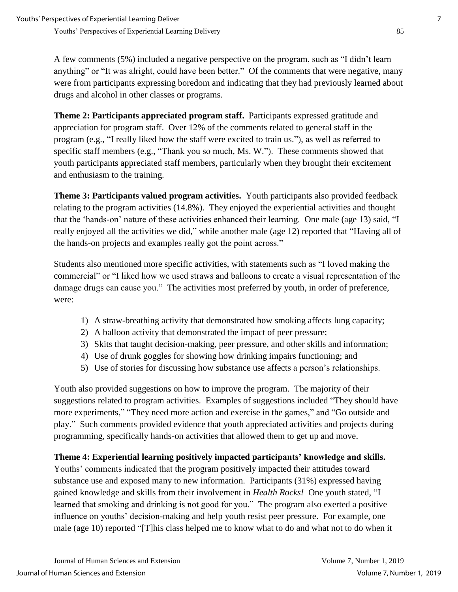A few comments (5%) included a negative perspective on the program, such as "I didn't learn anything" or "It was alright, could have been better." Of the comments that were negative, many were from participants expressing boredom and indicating that they had previously learned about drugs and alcohol in other classes or programs.

**Theme 2: Participants appreciated program staff.** Participants expressed gratitude and appreciation for program staff. Over 12% of the comments related to general staff in the program (e.g., "I really liked how the staff were excited to train us."), as well as referred to specific staff members (e.g., "Thank you so much, Ms. W."). These comments showed that youth participants appreciated staff members, particularly when they brought their excitement and enthusiasm to the training.

**Theme 3: Participants valued program activities.** Youth participants also provided feedback relating to the program activities (14.8%). They enjoyed the experiential activities and thought that the 'hands-on' nature of these activities enhanced their learning. One male (age 13) said, "I really enjoyed all the activities we did," while another male (age 12) reported that "Having all of the hands-on projects and examples really got the point across."

Students also mentioned more specific activities, with statements such as "I loved making the commercial" or "I liked how we used straws and balloons to create a visual representation of the damage drugs can cause you." The activities most preferred by youth, in order of preference, were:

- 1) A straw-breathing activity that demonstrated how smoking affects lung capacity;
- 2) A balloon activity that demonstrated the impact of peer pressure;
- 3) Skits that taught decision-making, peer pressure, and other skills and information;
- 4) Use of drunk goggles for showing how drinking impairs functioning; and
- 5) Use of stories for discussing how substance use affects a person's relationships.

Youth also provided suggestions on how to improve the program. The majority of their suggestions related to program activities. Examples of suggestions included "They should have more experiments," "They need more action and exercise in the games," and "Go outside and play." Such comments provided evidence that youth appreciated activities and projects during programming, specifically hands-on activities that allowed them to get up and move.

## **Theme 4: Experiential learning positively impacted participants' knowledge and skills.**

Youths' comments indicated that the program positively impacted their attitudes toward substance use and exposed many to new information. Participants (31%) expressed having gained knowledge and skills from their involvement in *Health Rocks!* One youth stated, "I learned that smoking and drinking is not good for you." The program also exerted a positive influence on youths' decision-making and help youth resist peer pressure. For example, one male (age 10) reported "[T]his class helped me to know what to do and what not to do when it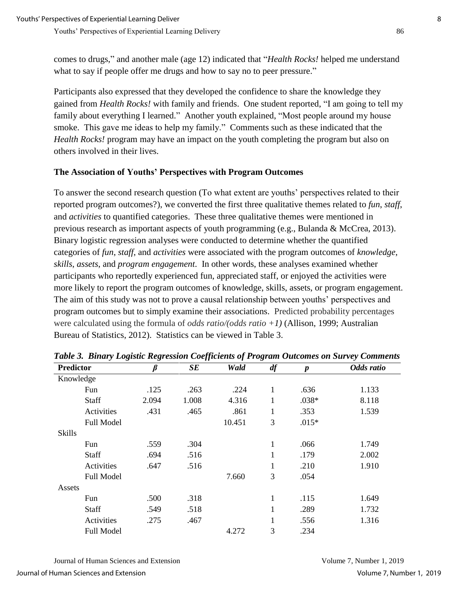comes to drugs," and another male (age 12) indicated that "*Health Rocks!* helped me understand what to say if people offer me drugs and how to say no to peer pressure."

Participants also expressed that they developed the confidence to share the knowledge they gained from *Health Rocks!* with family and friends. One student reported, "I am going to tell my family about everything I learned." Another youth explained, "Most people around my house smoke. This gave me ideas to help my family." Comments such as these indicated that the *Health Rocks!* program may have an impact on the youth completing the program but also on others involved in their lives.

## **The Association of Youths' Perspectives with Program Outcomes**

To answer the second research question (To what extent are youths' perspectives related to their reported program outcomes?), we converted the first three qualitative themes related to *fun*, *staff*, and *activities* to quantified categories. These three qualitative themes were mentioned in previous research as important aspects of youth programming (e.g., Bulanda & McCrea, 2013). Binary logistic regression analyses were conducted to determine whether the quantified categories of *fun*, *staff*, and *activities* were associated with the program outcomes of *knowledge*, *skills*, *assets*, and *program engagement*. In other words, these analyses examined whether participants who reportedly experienced fun, appreciated staff, or enjoyed the activities were more likely to report the program outcomes of knowledge, skills, assets, or program engagement. The aim of this study was not to prove a causal relationship between youths' perspectives and program outcomes but to simply examine their associations. Predicted probability percentages were calculated using the formula of *odds ratio/(odds ratio +1)* (Allison, 1999; Australian Bureau of Statistics, 2012). Statistics can be viewed in Table 3.

| <b>Predictor</b>  |       | SE    | Wald   | df | $\boldsymbol{p}$ | Odds ratio |
|-------------------|-------|-------|--------|----|------------------|------------|
| Knowledge         |       |       |        |    |                  |            |
| Fun               | .125  | .263  | .224   | 1  | .636             | 1.133      |
| <b>Staff</b>      | 2.094 | 1.008 | 4.316  | 1  | $.038*$          | 8.118      |
| Activities        | .431  | .465  | .861   | 1  | .353             | 1.539      |
| <b>Full Model</b> |       |       | 10.451 | 3  | $.015*$          |            |
| <b>Skills</b>     |       |       |        |    |                  |            |
| Fun               | .559  | .304  |        | 1  | .066             | 1.749      |
| <b>Staff</b>      | .694  | .516  |        |    | .179             | 2.002      |
| Activities        | .647  | .516  |        | 1  | .210             | 1.910      |
| Full Model        |       |       | 7.660  | 3  | .054             |            |
| Assets            |       |       |        |    |                  |            |
| Fun               | .500  | .318  |        | 1  | .115             | 1.649      |
| Staff             | .549  | .518  |        | 1  | .289             | 1.732      |
| Activities        | .275  | .467  |        | 1  | .556             | 1.316      |
| <b>Full Model</b> |       |       | 4.272  | 3  | .234             |            |

*Table 3. Binary Logistic Regression Coefficients of Program Outcomes on Survey Comments*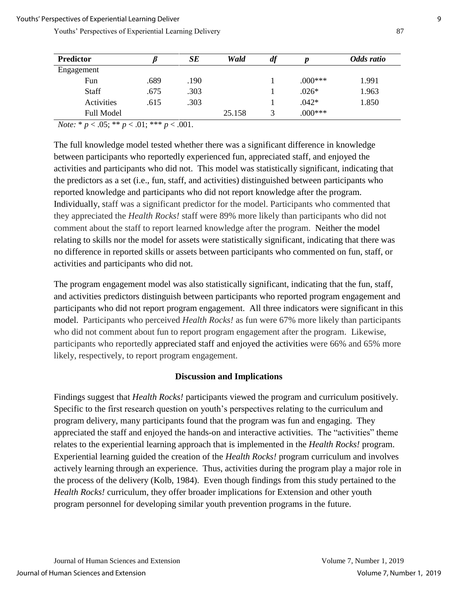| <b>Predictor</b>  |      | SЕ   | Wald   | df |           | Odds ratio |
|-------------------|------|------|--------|----|-----------|------------|
| Engagement        |      |      |        |    |           |            |
| Fun               | .689 | .190 |        |    | $.000***$ | 1.991      |
| Staff             | .675 | .303 |        |    | $.026*$   | 1.963      |
| Activities        | .615 | .303 |        |    | $.042*$   | 1.850      |
| <b>Full Model</b> |      |      | 25.158 | 3  | $0.00***$ |            |

*Note:*  $* p < .05$ ;  $** p < .01$ ;  $*** p < .001$ .

The full knowledge model tested whether there was a significant difference in knowledge between participants who reportedly experienced fun, appreciated staff, and enjoyed the activities and participants who did not. This model was statistically significant, indicating that the predictors as a set (i.e., fun, staff, and activities) distinguished between participants who reported knowledge and participants who did not report knowledge after the program. Individually, staff was a significant predictor for the model. Participants who commented that they appreciated the *Health Rocks!* staff were 89% more likely than participants who did not comment about the staff to report learned knowledge after the program. Neither the model relating to skills nor the model for assets were statistically significant, indicating that there was no difference in reported skills or assets between participants who commented on fun, staff, or activities and participants who did not.

The program engagement model was also statistically significant, indicating that the fun, staff, and activities predictors distinguish between participants who reported program engagement and participants who did not report program engagement. All three indicators were significant in this model. Participants who perceived *Health Rocks!* as fun were 67% more likely than participants who did not comment about fun to report program engagement after the program. Likewise, participants who reportedly appreciated staff and enjoyed the activities were 66% and 65% more likely, respectively, to report program engagement.

#### **Discussion and Implications**

Findings suggest that *Health Rocks!* participants viewed the program and curriculum positively. Specific to the first research question on youth's perspectives relating to the curriculum and program delivery, many participants found that the program was fun and engaging. They appreciated the staff and enjoyed the hands-on and interactive activities. The "activities" theme relates to the experiential learning approach that is implemented in the *Health Rocks!* program. Experiential learning guided the creation of the *Health Rocks!* program curriculum and involves actively learning through an experience. Thus, activities during the program play a major role in the process of the delivery (Kolb, 1984). Even though findings from this study pertained to the *Health Rocks!* curriculum, they offer broader implications for Extension and other youth program personnel for developing similar youth prevention programs in the future.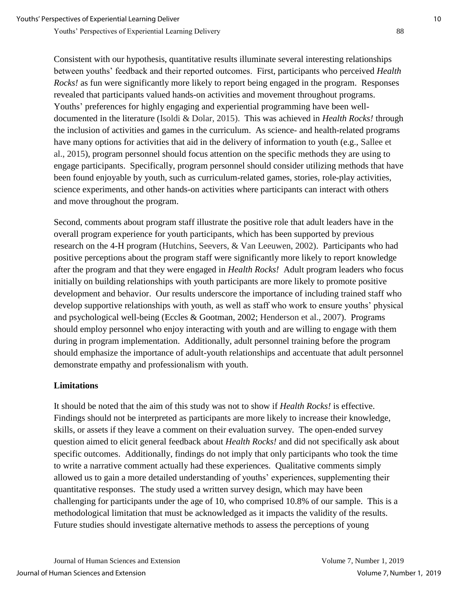Consistent with our hypothesis, quantitative results illuminate several interesting relationships between youths' feedback and their reported outcomes. First, participants who perceived *Health Rocks!* as fun were significantly more likely to report being engaged in the program. Responses revealed that participants valued hands-on activities and movement throughout programs. Youths' preferences for highly engaging and experiential programming have been welldocumented in the literature (Isoldi & Dolar, 2015). This was achieved in *Health Rocks!* through the inclusion of activities and games in the curriculum. As science- and health-related programs have many options for activities that aid in the delivery of information to youth (e.g., Sallee et al., 2015), program personnel should focus attention on the specific methods they are using to engage participants. Specifically, program personnel should consider utilizing methods that have been found enjoyable by youth, such as curriculum-related games, stories, role-play activities, science experiments, and other hands-on activities where participants can interact with others and move throughout the program.

Second, comments about program staff illustrate the positive role that adult leaders have in the overall program experience for youth participants, which has been supported by previous research on the 4-H program (Hutchins, Seevers, & Van Leeuwen, 2002). Participants who had positive perceptions about the program staff were significantly more likely to report knowledge after the program and that they were engaged in *Health Rocks!* Adult program leaders who focus initially on building relationships with youth participants are more likely to promote positive development and behavior. Our results underscore the importance of including trained staff who develop supportive relationships with youth, as well as staff who work to ensure youths' physical and psychological well-being (Eccles & Gootman, 2002; Henderson et al., 2007). Programs should employ personnel who enjoy interacting with youth and are willing to engage with them during in program implementation. Additionally, adult personnel training before the program should emphasize the importance of adult-youth relationships and accentuate that adult personnel demonstrate empathy and professionalism with youth.

#### **Limitations**

It should be noted that the aim of this study was not to show if *Health Rocks!* is effective. Findings should not be interpreted as participants are more likely to increase their knowledge, skills, or assets if they leave a comment on their evaluation survey. The open-ended survey question aimed to elicit general feedback about *Health Rocks!* and did not specifically ask about specific outcomes. Additionally, findings do not imply that only participants who took the time to write a narrative comment actually had these experiences. Qualitative comments simply allowed us to gain a more detailed understanding of youths' experiences, supplementing their quantitative responses. The study used a written survey design, which may have been challenging for participants under the age of 10, who comprised 10.8% of our sample. This is a methodological limitation that must be acknowledged as it impacts the validity of the results. Future studies should investigate alternative methods to assess the perceptions of young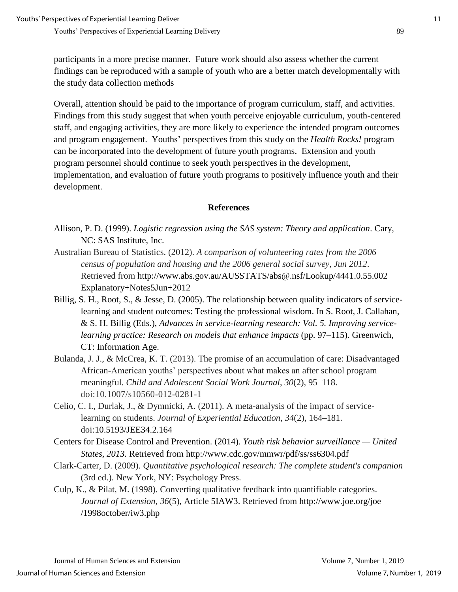participants in a more precise manner. Future work should also assess whether the current findings can be reproduced with a sample of youth who are a better match developmentally with the study data collection methods

Overall, attention should be paid to the importance of program curriculum, staff, and activities. Findings from this study suggest that when youth perceive enjoyable curriculum, youth-centered staff, and engaging activities, they are more likely to experience the intended program outcomes and program engagement. Youths' perspectives from this study on the *Health Rocks!* program can be incorporated into the development of future youth programs. Extension and youth program personnel should continue to seek youth perspectives in the development, implementation, and evaluation of future youth programs to positively influence youth and their development.

#### **References**

- Allison, P. D. (1999). *Logistic regression using the SAS system: Theory and application*. Cary, NC: SAS Institute, Inc.
- Australian Bureau of Statistics. (2012). *A comparison of volunteering rates from the 2006 census of population and housing and the 2006 general social survey, Jun 2012*. Retrieved from http://www.abs.gov.au/AUSSTATS/abs@.nsf/Lookup/4441.0.55.002 Explanatory+Notes5Jun+2012
- Billig, S. H., Root, S., & Jesse, D. (2005). The relationship between quality indicators of servicelearning and student outcomes: Testing the professional wisdom. In S. Root, J. Callahan, & S. H. Billig (Eds.), *Advances in service-learning research: Vol. 5. Improving servicelearning practice: Research on models that enhance impacts (pp. 97–115). Greenwich,* CT: Information Age.
- Bulanda, J. J., & McCrea, K. T. (2013). The promise of an accumulation of care: Disadvantaged African-American youths' perspectives about what makes an after school program meaningful. *Child and Adolescent Social Work Journal*, *30*(2), 95–118. doi:10.1007/s10560-012-0281-1
- Celio, C. I., Durlak, J., & Dymnicki, A. (2011). A meta-analysis of the impact of servicelearning on students. *Journal of Experiential Education*, *34*(2), 164–181. doi:10.5193/JEE34.2.164
- Centers for Disease Control and Prevention. (2014). *Youth risk behavior surveillance — United States, 2013.* Retrieved from http://www.cdc.gov/mmwr/pdf/ss/ss6304.pdf
- Clark-Carter, D. (2009). *Quantitative psychological research: The complete student's companion* (3rd ed.). New York, NY: Psychology Press.
- Culp, K., & Pilat, M. (1998). Converting qualitative feedback into quantifiable categories. *Journal of Extension, 36*(5), Article 5IAW3. Retrieved from http://www.joe.org/joe /1998october/iw3.php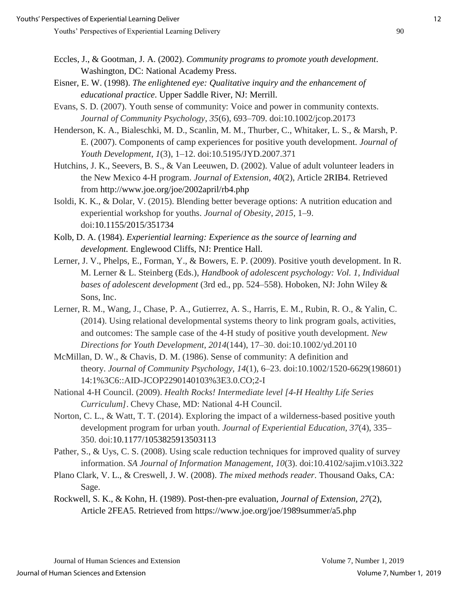- Eccles, J., & Gootman, J. A. (2002). *Community programs to promote youth development*. Washington, DC: National Academy Press.
- Eisner, E. W. (1998). *The enlightened eye: Qualitative inquiry and the enhancement of educational practice*. Upper Saddle River, NJ: Merrill.
- Evans, S. D. (2007). Youth sense of community: Voice and power in community contexts. *Journal of Community Psychology*, *35*(6), 693–709. doi:10.1002/jcop.20173
- Henderson, K. A., Bialeschki, M. D., Scanlin, M. M., Thurber, C., Whitaker, L. S., & Marsh, P. E. (2007). Components of camp experiences for positive youth development. *Journal of Youth Development*, *1*(3), 1–12. doi:10.5195/JYD.2007.371
- Hutchins, J. K., Seevers, B. S., & Van Leeuwen, D. (2002). Value of adult volunteer leaders in the New Mexico 4-H program. *Journal of Extension*, *40*(2), Article 2RIB4. Retrieved from http://www.joe.org/joe/2002april/rb4.php
- Isoldi, K. K., & Dolar, V. (2015). Blending better beverage options: A nutrition education and experiential workshop for youths. *Journal of Obesity*, *2015,* 1–9. doi[:10.1155/2015/351734](http://dx.doi.org/10.1155/2015/351734)
- Kolb, D. A. (1984). *Experiential learning: Experience as the source of learning and development.* Englewood Cliffs, NJ: Prentice Hall.
- Lerner, J. V., Phelps, E., Forman, Y., & Bowers, E. P. (2009). Positive youth development. In R. M. Lerner & L. Steinberg (Eds.), *Handbook of adolescent psychology: Vol. 1, Individual bases of adolescent development* (3rd ed., pp. 524–558). Hoboken, NJ: John Wiley & Sons, Inc.
- Lerner, R. M., Wang, J., Chase, P. A., Gutierrez, A. S., Harris, E. M., Rubin, R. O., & Yalin, C. (2014). Using relational developmental systems theory to link program goals, activities, and outcomes: The sample case of the 4-H study of positive youth development. *New Directions for Youth Development*, *2014*(144), 17–30. doi:10.1002/yd.20110
- McMillan, D. W., & Chavis, D. M. (1986). Sense of community: A definition and theory. *Journal of Community Psychology*, *14*(1), 6–23. doi:10.1002/1520-6629(198601) 14:1%3C6::AID-JCOP2290140103%3E3.0.CO;2-I
- National 4-H Council. (2009). *Health Rocks! Intermediate level [4-H Healthy Life Series Curriculum]*. Chevy Chase, MD: National 4-H Council.
- Norton, C. L., & Watt, T. T. (2014). Exploring the impact of a wilderness-based positive youth development program for urban youth. *Journal of Experiential Education*, *37*(4), 335– 350. doi:10.1177/1053825913503113
- Pather, S., & Uys, C. S. (2008). Using scale reduction techniques for improved quality of survey information. *SA Journal of Information Management*, *10*(3). doi:10.4102/sajim.v10i3.322
- Plano Clark, V. L., & Creswell, J. W. (2008). *The mixed methods reader*. Thousand Oaks, CA: Sage.
- Rockwell, S. K., & Kohn, H. (1989). Post-then-pre evaluation, *Journal of Extension, 27*(2), Article 2FEA5. Retrieved from https://www.joe.org/joe/1989summer/a5.php